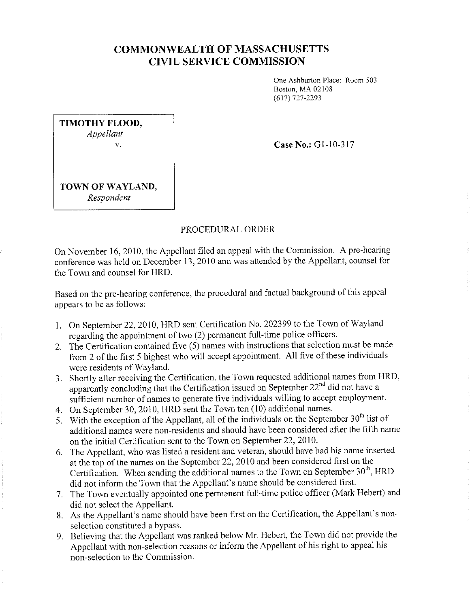## **COMMONWEAL TH OF MASSACHUSETTS CIVIL SERVICE COMMISSION**

One Ashburton Place: Room 503 Boston, MA 02108 (617) 727-2293

| TIMOTHY FLOOD, |  |
|----------------|--|
| Appellant      |  |
| V.             |  |
|                |  |
|                |  |

**Case No.:** Gl-10-317

**TOWN OF WAYLAND,**  *Respondent* 

## PROCEDURAL ORDER

On November 16, 2010, the Appellant filed an appeal with the Commission. A pre-hearing conference was held on December 13, 2010 and was attended by the Appellant, counsel for the Town and counsel for HRD.

Based on the pre-hearing conference, the procedural and factual background of this appeal appears to be as follows:

- I. On September 22, 2010, HRD sent Certification No. 202399 to the Town of Wayland regarding the appointment of two (2) permanent full-time police officers.
- 2. The Certification contained five (5) names with instructions that selection must be made from 2 of the first 5 highest who will accept appointment. All five of these individuals were residents of Wayland.
- 3. Shortly after receiving the Certification, the Town requested additional names from HRD, apparently concluding that the Certification issued on September  $22<sup>nd</sup>$  did not have a sufficient number of names to generate five individuals willing to accept employment.
- 4. On September 30, 2010, HRD sent the Town ten (10) additional names.
- 5. With the exception of the Appellant, all of the individuals on the September  $30<sup>th</sup>$  list of additional names were non-residents and should have been considered after the fifth name on the initial Certification sent to the Town on September 22, 2010.
- 6. The Appellant, who was listed a resident and veteran, should have had his name inserted at the top of the names on the September 22, 2010 and been considered first on the Certification. When sending the additional names to the Town on September  $30<sup>th</sup>$ , HRD did not inform the Town that the Appellant's name should be considered first.
- 7. The Town eventually appointed one permanent full-time police officer (Mark Hebert) and did not select the Appellant.
- 8. As the Appellant's name should have been first on the Certification, the Appellant's nonselection constituted a bypass.
- 9. Believing that the Appellant was ranked below Mr. Hebert, the Town did not provide the Appellant with non-selection reasons or inform the Appellant of his right to appeal his non-selection to the Commission.